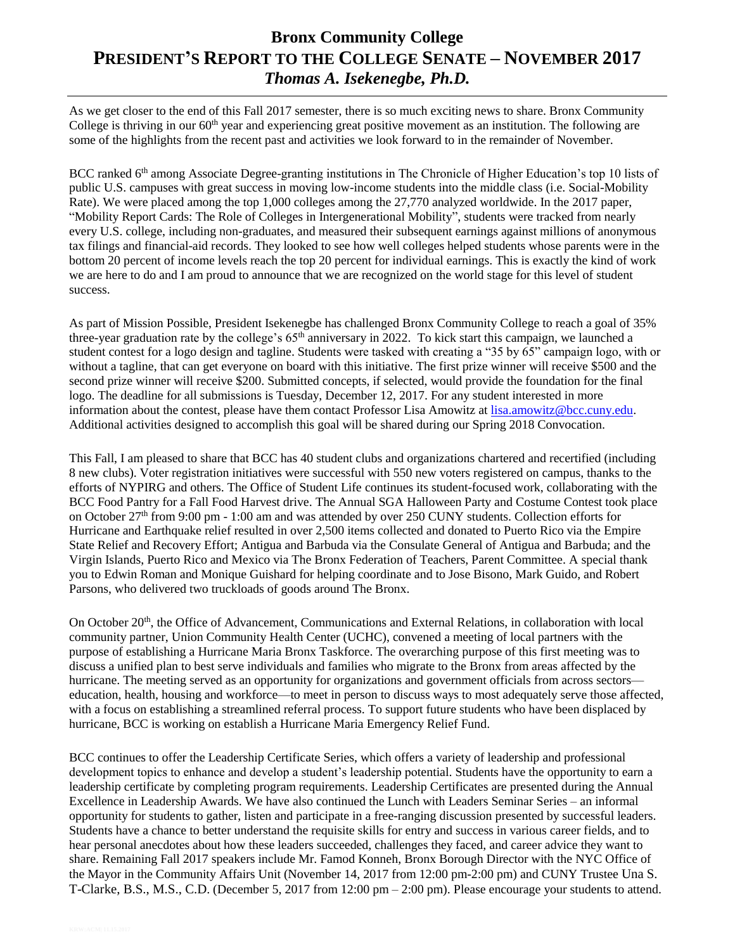## **Bronx Community College PRESIDENT'S REPORT TO THE COLLEGE SENATE – NOVEMBER 2017** *Thomas A. Isekenegbe, Ph.D.*

As we get closer to the end of this Fall 2017 semester, there is so much exciting news to share. Bronx Community College is thriving in our  $60<sup>th</sup>$  year and experiencing great positive movement as an institution. The following are some of the highlights from the recent past and activities we look forward to in the remainder of November.

BCC ranked 6<sup>th</sup> among Associate Degree-granting institutions in The Chronicle of Higher Education's top 10 lists of public U.S. campuses with great success in moving low-income students into the middle class (i.e. Social-Mobility Rate). We were placed among the top 1,000 colleges among the 27,770 analyzed worldwide. In the 2017 paper, ["Mobility Report Cards: The Role of Colleges in Intergenerational Mobility"](https://urldefense.proofpoint.com/v2/url?u=http-3A__www.equality-2Dof-2Dopportunity.org_data_&d=DwMGaQ&c=mRWFL96tuqj9V0Jjj4h40ddo0XsmttALwKjAEOCyUjY&r=YSTIwy0QonvnhE_SfLRC9XvoXpXHwz_apTHPeiapACs&m=64in22ZQkp3VlmSeSId7owGTxj6XJLvPk3H3lVs9IJo&s=ncDMYz1HYjeoZFMhLot4jOPR7mhqfJXcMdz7V_9aZLw&e=), students were tracked from nearly every U.S. college, including non-graduates, and measured their subsequent earnings against millions of anonymous tax filings and financial-aid records. They looked to see how well colleges helped students whose parents were in the bottom 20 percent of income levels reach the top 20 percent for individual earnings. This is exactly the kind of work we are here to do and I am proud to announce that we are recognized on the world stage for this level of student success.

As part of Mission Possible, President Isekenegbe has challenged Bronx Community College to reach a goal of 35% three-year graduation rate by the college's 65<sup>th</sup> anniversary in 2022. To kick start this campaign, we launched a student contest for a logo design and tagline. Students were tasked with creating a "35 by 65" campaign logo, with or without a tagline, that can get everyone on board with this initiative. The first prize winner will receive \$500 and the second prize winner will receive \$200. Submitted concepts, if selected, would provide the foundation for the final logo. The deadline for all submissions is Tuesday, December 12, 2017. For any student interested in more information about the contest, please have them contact Professor Lisa Amowitz at [lisa.amowitz@bcc.cuny.edu.](mailto:lisa.amowitz@bcc.cuny.edu) Additional activities designed to accomplish this goal will be shared during our Spring 2018 Convocation.

This Fall, I am pleased to share that BCC has 40 student clubs and organizations chartered and recertified (including 8 new clubs). Voter registration initiatives were successful with 550 new voters registered on campus, thanks to the efforts of NYPIRG and others. The Office of Student Life continues its student-focused work, collaborating with the BCC Food Pantry for a Fall Food Harvest drive. The Annual SGA Halloween Party and Costume Contest took place on October 27th from 9:00 pm - 1:00 am and was attended by over 250 CUNY students. Collection efforts for Hurricane and Earthquake relief resulted in over 2,500 items collected and donated to Puerto Rico via the Empire State Relief and Recovery Effort; Antigua and Barbuda via the Consulate General of Antigua and Barbuda; and the Virgin Islands, Puerto Rico and Mexico via The Bronx Federation of Teachers, Parent Committee. A special thank you to Edwin Roman and Monique Guishard for helping coordinate and to Jose Bisono, Mark Guido, and Robert Parsons, who delivered two truckloads of goods around The Bronx.

On October 20<sup>th</sup>, the Office of Advancement, Communications and External Relations, in collaboration with local community partner, Union Community Health Center (UCHC), convened a meeting of local partners with the purpose of establishing a Hurricane Maria Bronx Taskforce. The overarching purpose of this first meeting was to discuss a unified plan to best serve individuals and families who migrate to the Bronx from areas affected by the hurricane. The meeting served as an opportunity for organizations and government officials from across sectors education, health, housing and workforce—to meet in person to discuss ways to most adequately serve those affected, with a focus on establishing a streamlined referral process. To support future students who have been displaced by hurricane, BCC is working on establish a Hurricane Maria Emergency Relief Fund.

BCC continues to offer the Leadership Certificate Series, which offers a variety of leadership and professional development topics to enhance and develop a student's leadership potential. Students have the opportunity to earn a leadership certificate by completing program requirements. Leadership Certificates are presented during the Annual Excellence in Leadership Awards. We have also continued the Lunch with Leaders Seminar Series – an informal opportunity for students to gather, listen and participate in a free-ranging discussion presented by successful leaders. Students have a chance to better understand the requisite skills for entry and success in various career fields, and to hear personal anecdotes about how these leaders succeeded, challenges they faced, and career advice they want to share. Remaining Fall 2017 speakers include Mr. Famod Konneh, Bronx Borough Director with the NYC Office of the Mayor in the Community Affairs Unit (November 14, 2017 from 12:00 pm-2:00 pm) and CUNY Trustee Una S. T-Clarke, B.S., M.S., C.D. (December 5, 2017 from 12:00 pm – 2:00 pm). Please encourage your students to attend.